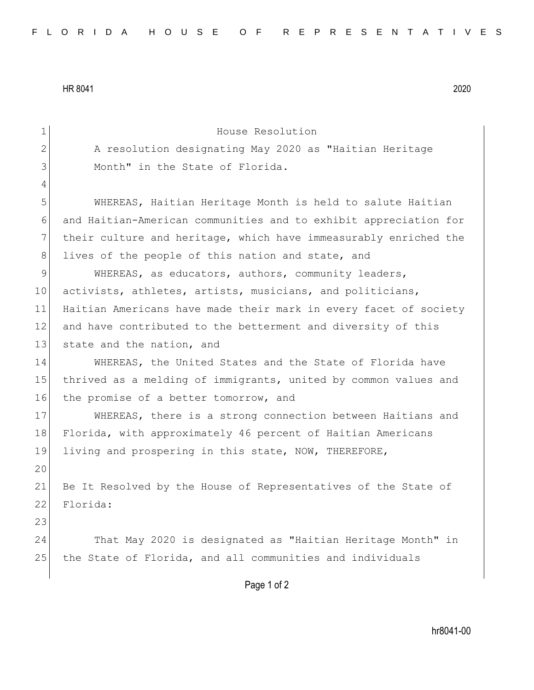HR 8041 2020

4

20

23

1 House Resolution 2 A resolution designating May 2020 as "Haitian Heritage 3 Month" in the State of Florida. 5 WHEREAS, Haitian Heritage Month is held to salute Haitian 6 and Haitian-American communities and to exhibit appreciation for 7 their culture and heritage, which have immeasurably enriched the 8 lives of the people of this nation and state, and 9 WHEREAS, as educators, authors, community leaders, 10 activists, athletes, artists, musicians, and politicians, 11 Haitian Americans have made their mark in every facet of society 12 and have contributed to the betterment and diversity of this 13 state and the nation, and 14 WHEREAS, the United States and the State of Florida have 15 thrived as a melding of immigrants, united by common values and 16 the promise of a better tomorrow, and 17 WHEREAS, there is a strong connection between Haitians and 18 Florida, with approximately 46 percent of Haitian Americans 19 living and prospering in this state, NOW, THEREFORE, 21 Be It Resolved by the House of Representatives of the State of 22 Florida: 24 That May 2020 is designated as "Haitian Heritage Month" in 25 the State of Florida, and all communities and individuals

Page 1 of 2

hr8041-00